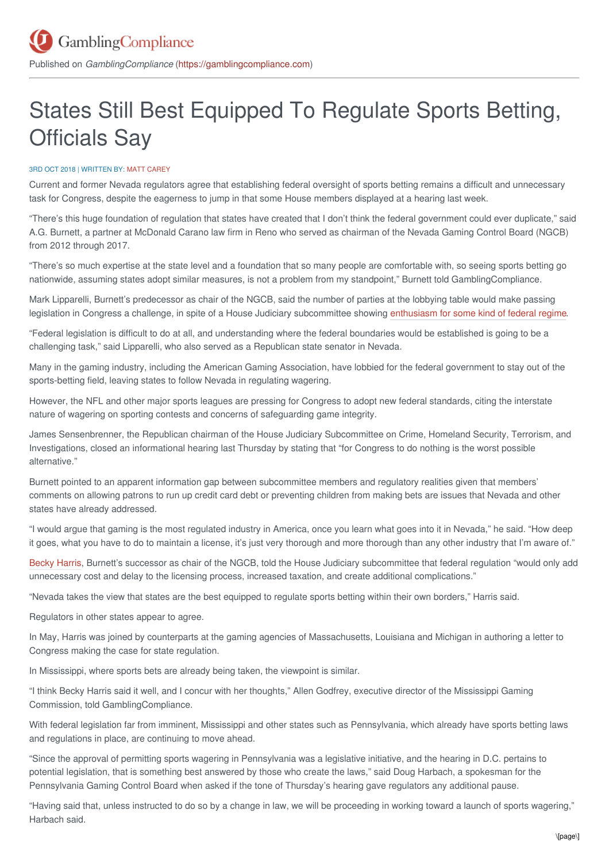## States Still Best Equipped To Regulate Sports Betting, Officials Say

## 3RD OCT 2018 | WRITTEN BY: MATT [CAREY](https://gamblingcompliance.com/users/mattcgamblingcompliancecom)

Current and former Nevada regulators agree that establishing federal oversight of sports betting remains a difficult and unnecessary task for Congress, despite the eagerness to jump in that some House members displayed at a hearing last week.

"There's this huge foundation of regulation that states have created that I don't think the federal government could ever duplicate," said A.G. Burnett, a partner at McDonald Carano law firm in Reno who served as chairman of the Nevada Gaming Control Board (NGCB) from 2012 through 2017.

"There's so much expertise at the state level and a foundation that so many people are comfortable with, so seeing sports betting go nationwide, assuming states adopt similar measures, is not a problem from my standpoint," Burnett told GamblingCompliance.

Mark Lipparelli, Burnett's predecessor as chair of the NGCB, said the number of parties at the lobbying table would make passing legislation in Congress a challenge, in spite of a House Judiciary subcommittee showing [enthusiasm](https://gamblingcompliance.com/premium-content/insights_analysis/congress-ready-crash-sports-betting-party) for some kind of federal regime.

"Federal legislation is difficult to do at all, and understanding where the federal boundaries would be established is going to be a challenging task," said Lipparelli, who also served as a Republican state senator in Nevada.

Many in the gaming industry, including the American Gaming Association, have lobbied for the federal government to stay out of the sports-betting field, leaving states to follow Nevada in regulating wagering.

However, the NFL and other major sports leagues are pressing for Congress to adopt new federal standards, citing the interstate nature of wagering on sporting contests and concerns of safeguarding game integrity.

James Sensenbrenner, the Republican chairman of the House Judiciary Subcommittee on Crime, Homeland Security, Terrorism, and Investigations, closed an informational hearing last Thursday by stating that "for Congress to do nothing is the worst possible alternative."

Burnett pointed to an apparent information gap between subcommittee members and regulatory realities given that members' comments on allowing patrons to run up credit card debt or preventing children from making bets are issues that Nevada and other states have already addressed.

"I would argue that gaming is the most regulated industry in America, once you learn what goes into it in Nevada," he said. "How deep it goes, what you have to do to maintain a license, it's just very thorough and more thorough than any other industry that I'm aware of."

Becky [Harris,](https://gamblingcompliance.com/premium-content/insights_analysis/first-woman-lead-nevada-gaming-control-board-faces-uncertain) Burnett's successor as chair of the NGCB, told the House Judiciary subcommittee that federal regulation "would only add unnecessary cost and delay to the licensing process, increased taxation, and create additional complications."

"Nevada takes the view that states are the best equipped to regulate sports betting within their own borders," Harris said.

Regulators in other states appear to agree.

In May, Harris was joined by counterparts at the gaming agencies of Massachusetts, Louisiana and Michigan in authoring a letter to Congress making the case for state regulation.

In Mississippi, where sports bets are already being taken, the viewpoint is similar.

"I think Becky Harris said it well, and I concur with her thoughts," Allen Godfrey, executive director of the Mississippi Gaming Commission, told GamblingCompliance.

With federal legislation far from imminent, Mississippi and other states such as Pennsylvania, which already have sports betting laws and regulations in place, are continuing to move ahead.

"Since the approval of permitting sports wagering in Pennsylvania was a legislative initiative, and the hearing in D.C. pertains to potential legislation, that is something best answered by those who create the laws," said Doug Harbach, a spokesman for the Pennsylvania Gaming Control Board when asked if the tone of Thursday's hearing gave regulators any additional pause.

"Having said that, unless instructed to do so by a change in law, we will be proceeding in working toward a launch of sports wagering," Harbach said.